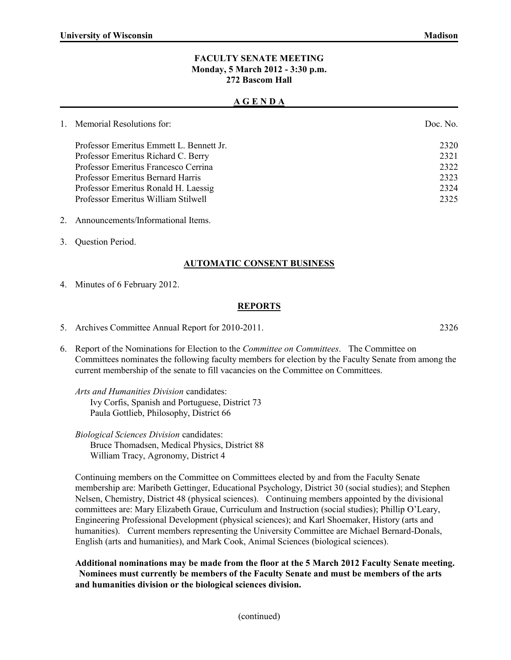# **FACULTY SENATE MEETING Monday, 5 March 2012 - 3:30 p.m. 272 Bascom Hall**

### **A G E N D A**

| 1. Memorial Resolutions for:             | Doc. No. |
|------------------------------------------|----------|
| Professor Emeritus Emmett L. Bennett Jr. | 2320     |
| Professor Emeritus Richard C. Berry      | 2321     |
| Professor Emeritus Francesco Cerrina     | 2322     |
| <b>Professor Emeritus Bernard Harris</b> | 2323     |
| Professor Emeritus Ronald H. Laessig     | 2324     |
| Professor Emeritus William Stilwell      | 2325     |
|                                          |          |

- 2. Announcements/Informational Items.
- 3. Question Period.

# **AUTOMATIC CONSENT BUSINESS**

4. Minutes of 6 February 2012.

#### **REPORTS**

- 5. Archives Committee Annual Report for 2010-2011. 2326
- 6. Report of the Nominations for Election to the *Committee on Committees*. The Committee on Committees nominates the following faculty members for election by the Faculty Senate from among the current membership of the senate to fill vacancies on the Committee on Committees.
	- *Arts and Humanities Division* candidates: Ivy Corfis, Spanish and Portuguese, District 73 Paula Gottlieb, Philosophy, District 66
	- *Biological Sciences Division* candidates: Bruce Thomadsen, Medical Physics, District 88 William Tracy, Agronomy, District 4

Continuing members on the Committee on Committees elected by and from the Faculty Senate membership are: Maribeth Gettinger, Educational Psychology, District 30 (social studies); and Stephen Nelsen, Chemistry, District 48 (physical sciences). Continuing members appointed by the divisional committees are: Mary Elizabeth Graue, Curriculum and Instruction (social studies); Phillip O'Leary, Engineering Professional Development (physical sciences); and Karl Shoemaker, History (arts and humanities). Current members representing the University Committee are Michael Bernard-Donals, English (arts and humanities), and Mark Cook, Animal Sciences (biological sciences).

**Additional nominations may be made from the floor at the 5 March 2012 Faculty Senate meeting. Nominees must currently be members of the Faculty Senate and must be members of the arts and humanities division or the biological sciences division.**

(continued)